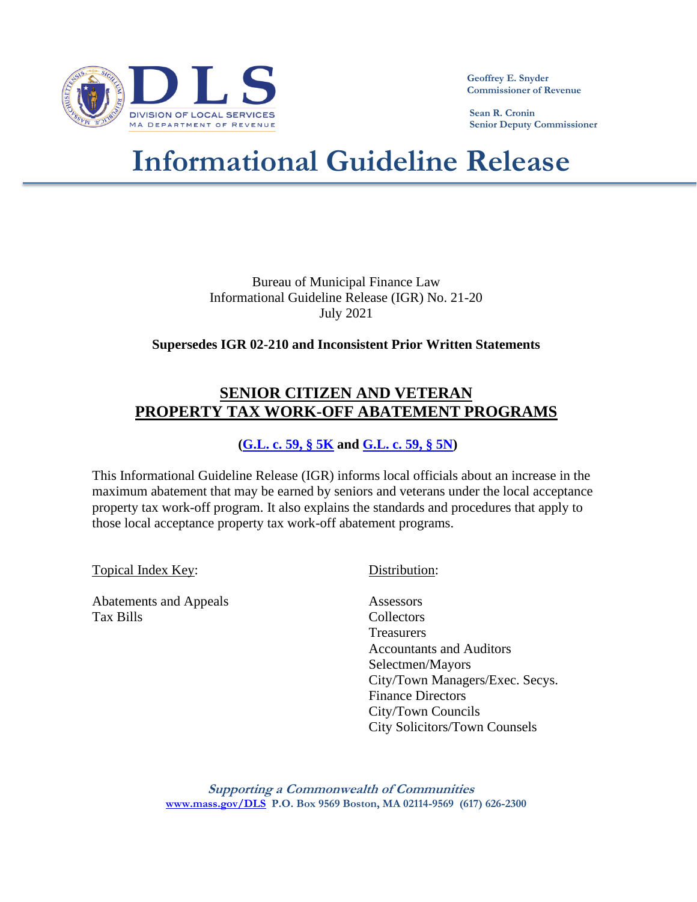

 **Geoffrey E. Snyder Commissioner of Revenue**

 **Sean R. Cronin Senior Deputy Commissioner**

# **Informational Guideline Release**

Bureau of Municipal Finance Law Informational Guideline Release (IGR) No. 21-20 July 2021

# **Supersedes IGR 02-210 and Inconsistent Prior Written Statements**

# **SENIOR CITIZEN AND VETERAN PROPERTY TAX WORK-OFF ABATEMENT PROGRAMS**

# **[\(G.L. c. 59, § 5K](https://malegislature.gov/Laws/GeneralLaws/PartI/TitleIX/Chapter59/Section5K) and [G.L. c. 59, § 5N\)](https://malegislature.gov/Laws/GeneralLaws/PartI/TitleIX/Chapter59/Section5N)**

This Informational Guideline Release (IGR) informs local officials about an increase in the maximum abatement that may be earned by seniors and veterans under the local acceptance property tax work-off program. It also explains the standards and procedures that apply to those local acceptance property tax work-off abatement programs.

Topical Index Key: Distribution:

Abatements and Appeals **Assessors** Tax Bills Collectors

**Treasurers** Accountants and Auditors Selectmen/Mayors City/Town Managers/Exec. Secys. Finance Directors City/Town Councils City Solicitors/Town Counsels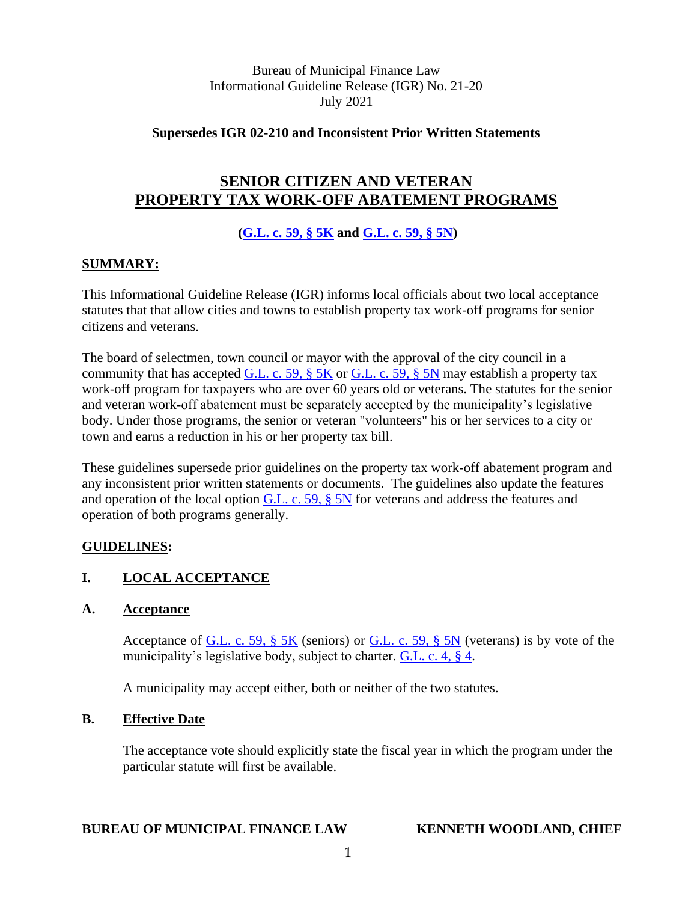Bureau of Municipal Finance Law Informational Guideline Release (IGR) No. 21-20 July 2021

**Supersedes IGR 02-210 and Inconsistent Prior Written Statements**

# **SENIOR CITIZEN AND VETERAN PROPERTY TAX WORK-OFF ABATEMENT PROGRAMS**

**[\(G.L. c. 59, § 5K](https://malegislature.gov/Laws/GeneralLaws/PartI/TitleIX/Chapter59/Section5K) and [G.L. c. 59, § 5N\)](https://malegislature.gov/Laws/GeneralLaws/PartI/TitleIX/Chapter59/Section5N)**

#### **SUMMARY:**

This Informational Guideline Release (IGR) informs local officials about two local acceptance statutes that that allow cities and towns to establish property tax work-off programs for senior citizens and veterans.

The board of selectmen, town council or mayor with the approval of the city council in a community that has accepted G.L. c. 59,  $\S 5K$  or G.L. c. 59,  $\S 5N$  may establish a property tax work-off program for taxpayers who are over 60 years old or veterans. The statutes for the senior and veteran work-off abatement must be separately accepted by the municipality's legislative body. Under those programs, the senior or veteran "volunteers" his or her services to a city or town and earns a reduction in his or her property tax bill.

These guidelines supersede prior guidelines on the property tax work-off abatement program and any inconsistent prior written statements or documents. The guidelines also update the features and operation of the local option [G.L. c. 59, § 5N](https://malegislature.gov/Laws/GeneralLaws/PartI/TitleIX/Chapter59/Section5N) for veterans and address the features and operation of both programs generally.

# **GUIDELINES:**

# **I. LOCAL ACCEPTANCE**

#### **A. Acceptance**

Acceptance of G.L. c. 59,  $\S$  5K (seniors) or G.L. c. 59,  $\S$  5N (veterans) is by vote of the municipality's legislative body, subject to charter. [G.L. c. 4, § 4.](https://malegislature.gov/Laws/GeneralLaws/PartI/TitleI/Chapter4/Section4)

A municipality may accept either, both or neither of the two statutes.

#### **B. Effective Date**

The acceptance vote should explicitly state the fiscal year in which the program under the particular statute will first be available.

#### **BUREAU OF MUNICIPAL FINANCE LAW KENNETH WOODLAND, CHIEF**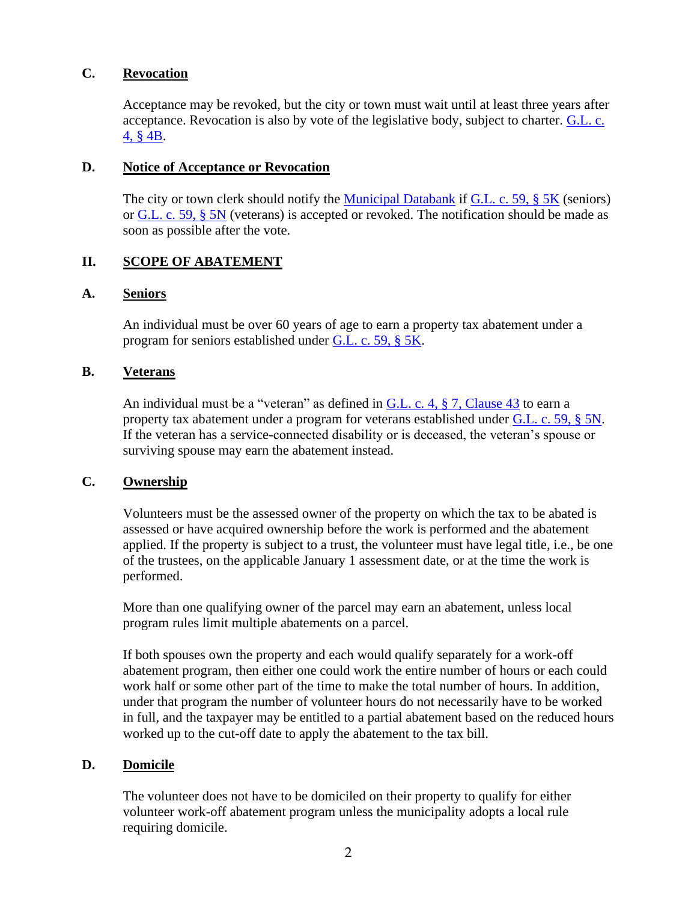#### **C. Revocation**

Acceptance may be revoked, but the city or town must wait until at least three years after acceptance. Revocation is also by vote of the legislative body, subject to charter. [G.L. c.](https://malegislature.gov/Laws/GeneralLaws/PartI/TitleI/Chapter4/Section4B)  [4, § 4B.](https://malegislature.gov/Laws/GeneralLaws/PartI/TitleI/Chapter4/Section4B)

#### **D. Notice of Acceptance or Revocation**

The city or town clerk should notify the [Municipal Databank](https://www.mass.gov/service-details/notification-of-acceptance-of-local-option-statutes) if [G.L. c. 59, § 5K](https://malegislature.gov/Laws/GeneralLaws/PartI/TitleIX/Chapter59/Section5K) (seniors) or [G.L. c. 59, § 5N](https://malegislature.gov/Laws/GeneralLaws/PartI/TitleIX/Chapter59/Section5N) (veterans) is accepted or revoked. The notification should be made as soon as possible after the vote.

# **II. SCOPE OF ABATEMENT**

#### **A. Seniors**

An individual must be over 60 years of age to earn a property tax abatement under a program for seniors established under [G.L. c. 59, § 5K.](https://malegislature.gov/Laws/GeneralLaws/PartI/TitleIX/Chapter59/Section5K)

#### **B. Veterans**

An individual must be a "veteran" as defined in G.L. c. 4,  $\S$  7, Clause 43 to earn a property tax abatement under a program for veterans established under [G.L. c. 59, § 5N.](https://malegislature.gov/Laws/GeneralLaws/PartI/TitleIX/Chapter59/Section5N) If the veteran has a service-connected disability or is deceased, the veteran's spouse or surviving spouse may earn the abatement instead.

#### **C. Ownership**

Volunteers must be the assessed owner of the property on which the tax to be abated is assessed or have acquired ownership before the work is performed and the abatement applied. If the property is subject to a trust, the volunteer must have legal title, i.e., be one of the trustees, on the applicable January 1 assessment date, or at the time the work is performed.

More than one qualifying owner of the parcel may earn an abatement, unless local program rules limit multiple abatements on a parcel.

If both spouses own the property and each would qualify separately for a work-off abatement program, then either one could work the entire number of hours or each could work half or some other part of the time to make the total number of hours. In addition, under that program the number of volunteer hours do not necessarily have to be worked in full, and the taxpayer may be entitled to a partial abatement based on the reduced hours worked up to the cut-off date to apply the abatement to the tax bill.

#### **D. Domicile**

The volunteer does not have to be domiciled on their property to qualify for either volunteer work-off abatement program unless the municipality adopts a local rule requiring domicile.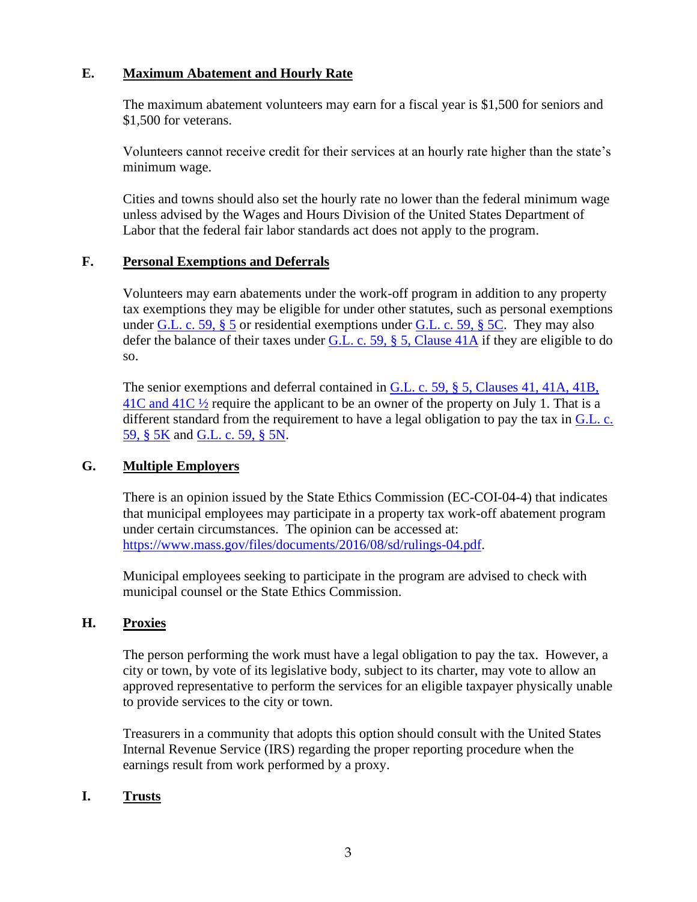# **E. Maximum Abatement and Hourly Rate**

The maximum abatement volunteers may earn for a fiscal year is \$1,500 for seniors and \$1,500 for veterans.

Volunteers cannot receive credit for their services at an hourly rate higher than the state's minimum wage.

Cities and towns should also set the hourly rate no lower than the federal minimum wage unless advised by the Wages and Hours Division of the United States Department of Labor that the federal fair labor standards act does not apply to the program.

#### **F. Personal Exemptions and Deferrals**

Volunteers may earn abatements under the work-off program in addition to any property tax exemptions they may be eligible for under other statutes, such as personal exemptions under G.L. c. 59,  $\S$  5 or residential exemptions under G.L. c. 59,  $\S$  5C. They may also defer the balance of their taxes under [G.L. c. 59, § 5, Clause 41A](https://malegislature.gov/Laws/GeneralLaws/PartI/TitleIX/Chapter59/Section5) if they are eligible to do so.

The senior exemptions and deferral contained in G.L. c. 59, § 5, Clauses 41, 41A, 41B,  $41C$  and  $41C$   $\frac{1}{2}$  require the applicant to be an owner of the property on July 1. That is a different standard from the requirement to have a legal obligation to pay the tax in  $G.L. c.$ [59, § 5K](https://malegislature.gov/Laws/GeneralLaws/PartI/TitleIX/Chapter59/Section5K) and [G.L. c. 59, § 5N.](https://malegislature.gov/Laws/GeneralLaws/PartI/TitleIX/Chapter59/Section5N)

# **G. Multiple Employers**

There is an opinion issued by the State Ethics Commission (EC-COI-04-4) that indicates that municipal employees may participate in a property tax work-off abatement program under certain circumstances. The opinion can be accessed at: [https://www.mass.gov/files/documents/2016/08/sd/rulings-04.pdf.](https://www.mass.gov/files/documents/2016/08/sd/rulings-04.pdf)

Municipal employees seeking to participate in the program are advised to check with municipal counsel or the State Ethics Commission.

# **H. Proxies**

The person performing the work must have a legal obligation to pay the tax. However, a city or town, by vote of its legislative body, subject to its charter, may vote to allow an approved representative to perform the services for an eligible taxpayer physically unable to provide services to the city or town.

Treasurers in a community that adopts this option should consult with the United States Internal Revenue Service (IRS) regarding the proper reporting procedure when the earnings result from work performed by a proxy.

# **I. Trusts**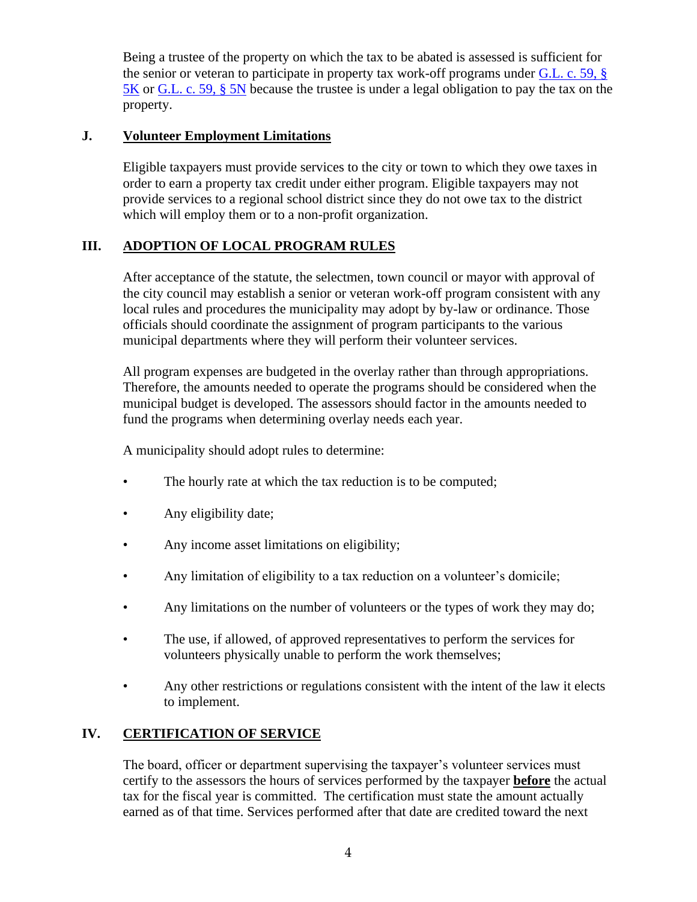Being a trustee of the property on which the tax to be abated is assessed is sufficient for the senior or veteran to participate in property tax work-off programs under [G.L. c. 59, §](https://malegislature.gov/Laws/GeneralLaws/PartI/TitleIX/Chapter59/Section5K)  [5K](https://malegislature.gov/Laws/GeneralLaws/PartI/TitleIX/Chapter59/Section5K) or [G.L. c. 59, § 5N](https://malegislature.gov/Laws/GeneralLaws/PartI/TitleIX/Chapter59/Section5N) because the trustee is under a legal obligation to pay the tax on the property.

# **J. Volunteer Employment Limitations**

Eligible taxpayers must provide services to the city or town to which they owe taxes in order to earn a property tax credit under either program. Eligible taxpayers may not provide services to a regional school district since they do not owe tax to the district which will employ them or to a non-profit organization.

# **III. ADOPTION OF LOCAL PROGRAM RULES**

After acceptance of the statute, the selectmen, town council or mayor with approval of the city council may establish a senior or veteran work-off program consistent with any local rules and procedures the municipality may adopt by by-law or ordinance. Those officials should coordinate the assignment of program participants to the various municipal departments where they will perform their volunteer services.

All program expenses are budgeted in the overlay rather than through appropriations. Therefore, the amounts needed to operate the programs should be considered when the municipal budget is developed. The assessors should factor in the amounts needed to fund the programs when determining overlay needs each year.

A municipality should adopt rules to determine:

- The hourly rate at which the tax reduction is to be computed;
- Any eligibility date;
- Any income asset limitations on eligibility;
- Any limitation of eligibility to a tax reduction on a volunteer's domicile;
- Any limitations on the number of volunteers or the types of work they may do;
- The use, if allowed, of approved representatives to perform the services for volunteers physically unable to perform the work themselves;
- Any other restrictions or regulations consistent with the intent of the law it elects to implement.

# **IV. CERTIFICATION OF SERVICE**

The board, officer or department supervising the taxpayer's volunteer services must certify to the assessors the hours of services performed by the taxpayer **before** the actual tax for the fiscal year is committed. The certification must state the amount actually earned as of that time. Services performed after that date are credited toward the next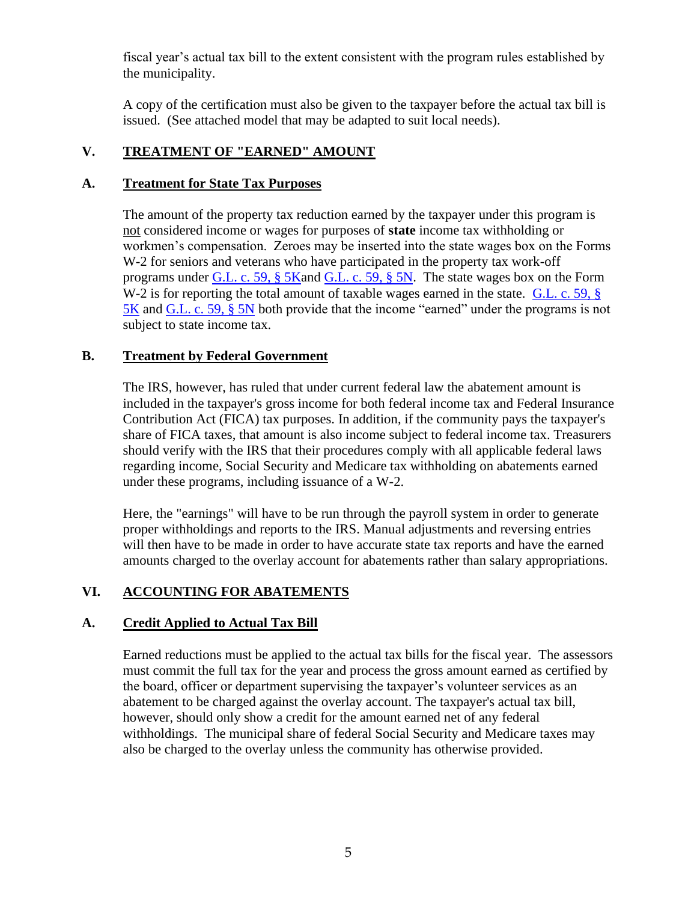fiscal year's actual tax bill to the extent consistent with the program rules established by the municipality.

A copy of the certification must also be given to the taxpayer before the actual tax bill is issued. (See attached model that may be adapted to suit local needs).

# **V. TREATMENT OF "EARNED" AMOUNT**

#### **A. Treatment for State Tax Purposes**

The amount of the property tax reduction earned by the taxpayer under this program is not considered income or wages for purposes of **state** income tax withholding or workmen's compensation. Zeroes may be inserted into the state wages box on the Forms W-2 for seniors and veterans who have participated in the property tax work-off programs under [G.L. c. 59, § 5Ka](https://malegislature.gov/Laws/GeneralLaws/PartI/TitleIX/Chapter59/Section5K)nd [G.L. c. 59, § 5N.](https://malegislature.gov/Laws/GeneralLaws/PartI/TitleIX/Chapter59/Section5N) The state wages box on the Form W-2 is for reporting the total amount of taxable wages earned in the state. G.L. c. 59, § [5K](https://malegislature.gov/Laws/GeneralLaws/PartI/TitleIX/Chapter59/Section5K) and [G.L. c. 59, § 5N](https://malegislature.gov/Laws/GeneralLaws/PartI/TitleIX/Chapter59/Section5N) both provide that the income "earned" under the programs is not subject to state income tax.

#### **B. Treatment by Federal Government**

The IRS, however, has ruled that under current federal law the abatement amount is included in the taxpayer's gross income for both federal income tax and Federal Insurance Contribution Act (FICA) tax purposes. In addition, if the community pays the taxpayer's share of FICA taxes, that amount is also income subject to federal income tax. Treasurers should verify with the IRS that their procedures comply with all applicable federal laws regarding income, Social Security and Medicare tax withholding on abatements earned under these programs, including issuance of a W-2.

Here, the "earnings" will have to be run through the payroll system in order to generate proper withholdings and reports to the IRS. Manual adjustments and reversing entries will then have to be made in order to have accurate state tax reports and have the earned amounts charged to the overlay account for abatements rather than salary appropriations.

# **VI. ACCOUNTING FOR ABATEMENTS**

# **A. Credit Applied to Actual Tax Bill**

Earned reductions must be applied to the actual tax bills for the fiscal year. The assessors must commit the full tax for the year and process the gross amount earned as certified by the board, officer or department supervising the taxpayer's volunteer services as an abatement to be charged against the overlay account. The taxpayer's actual tax bill, however, should only show a credit for the amount earned net of any federal withholdings. The municipal share of federal Social Security and Medicare taxes may also be charged to the overlay unless the community has otherwise provided.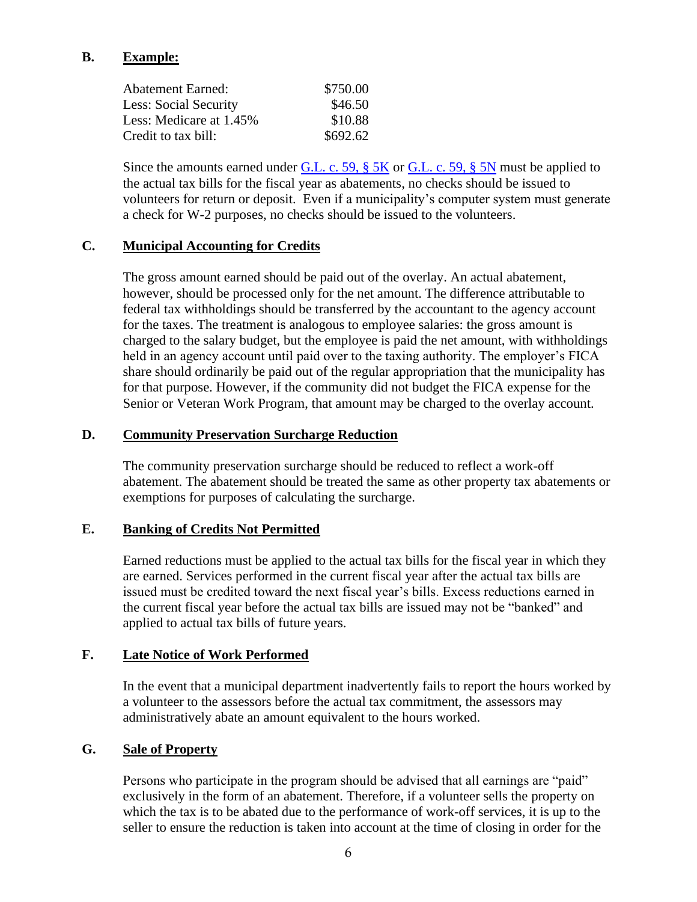# **B. Example:**

| \$750.00 |
|----------|
| \$46.50  |
| \$10.88  |
| \$692.62 |
|          |

Since the amounts earned under  $G.L. c. 59, § 5K$  or  $G.L. c. 59, § 5N$  must be applied to the actual tax bills for the fiscal year as abatements, no checks should be issued to volunteers for return or deposit. Even if a municipality's computer system must generate a check for W-2 purposes, no checks should be issued to the volunteers.

#### **C. Municipal Accounting for Credits**

The gross amount earned should be paid out of the overlay. An actual abatement, however, should be processed only for the net amount. The difference attributable to federal tax withholdings should be transferred by the accountant to the agency account for the taxes. The treatment is analogous to employee salaries: the gross amount is charged to the salary budget, but the employee is paid the net amount, with withholdings held in an agency account until paid over to the taxing authority. The employer's FICA share should ordinarily be paid out of the regular appropriation that the municipality has for that purpose. However, if the community did not budget the FICA expense for the Senior or Veteran Work Program, that amount may be charged to the overlay account.

#### **D. Community Preservation Surcharge Reduction**

The community preservation surcharge should be reduced to reflect a work-off abatement. The abatement should be treated the same as other property tax abatements or exemptions for purposes of calculating the surcharge.

# **E. Banking of Credits Not Permitted**

Earned reductions must be applied to the actual tax bills for the fiscal year in which they are earned. Services performed in the current fiscal year after the actual tax bills are issued must be credited toward the next fiscal year's bills. Excess reductions earned in the current fiscal year before the actual tax bills are issued may not be "banked" and applied to actual tax bills of future years.

#### **F. Late Notice of Work Performed**

In the event that a municipal department inadvertently fails to report the hours worked by a volunteer to the assessors before the actual tax commitment, the assessors may administratively abate an amount equivalent to the hours worked.

# **G. Sale of Property**

Persons who participate in the program should be advised that all earnings are "paid" exclusively in the form of an abatement. Therefore, if a volunteer sells the property on which the tax is to be abated due to the performance of work-off services, it is up to the seller to ensure the reduction is taken into account at the time of closing in order for the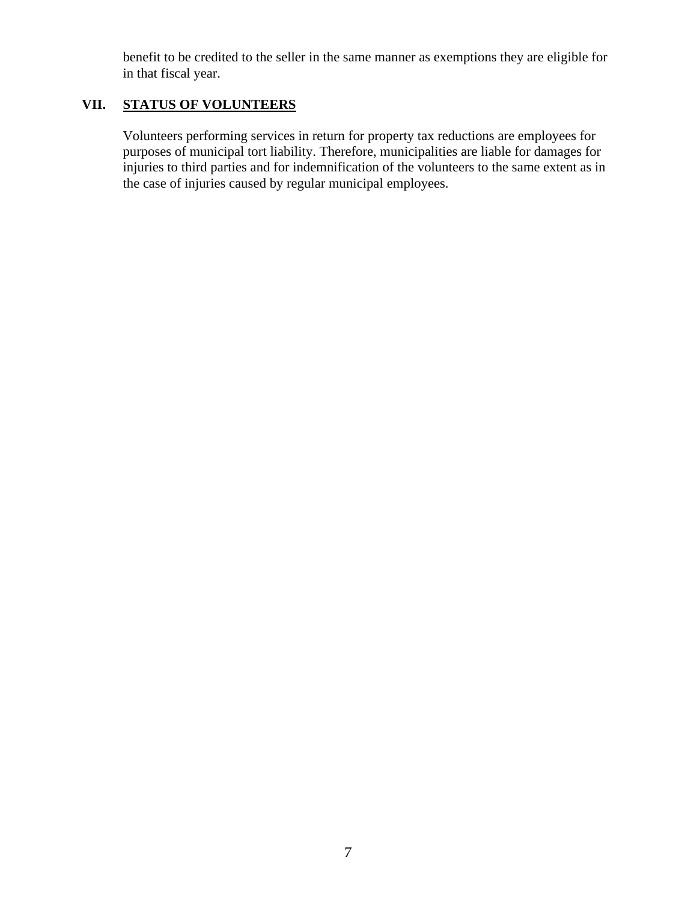benefit to be credited to the seller in the same manner as exemptions they are eligible for in that fiscal year.

# **VII. STATUS OF VOLUNTEERS**

Volunteers performing services in return for property tax reductions are employees for purposes of municipal tort liability. Therefore, municipalities are liable for damages for injuries to third parties and for indemnification of the volunteers to the same extent as in the case of injuries caused by regular municipal employees.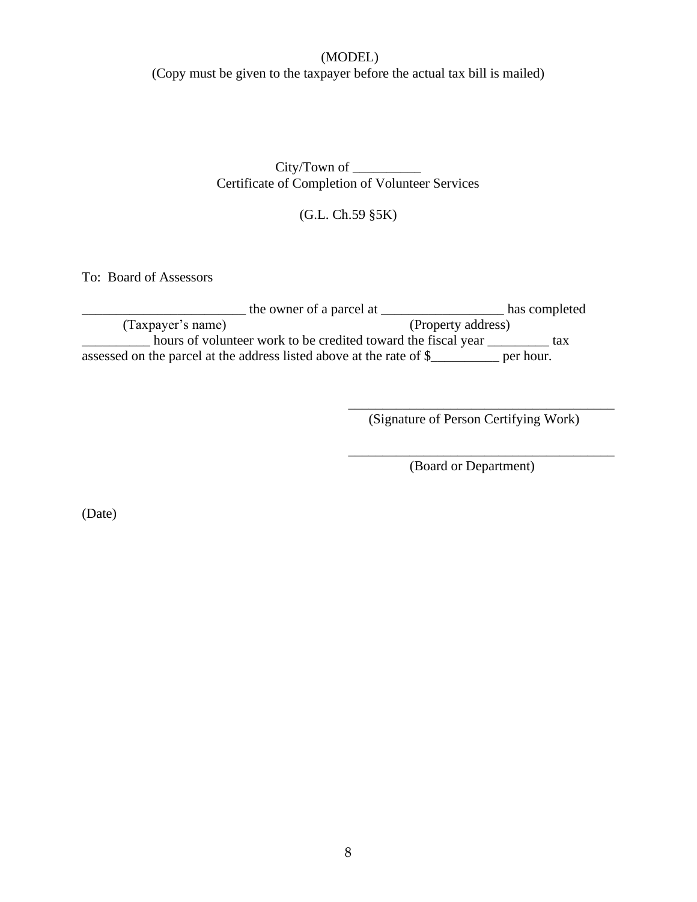# (MODEL)

(Copy must be given to the taxpayer before the actual tax bill is mailed)

City/Town of \_\_\_\_\_\_\_\_\_\_ Certificate of Completion of Volunteer Services

(G.L. Ch.59 §5K)

To: Board of Assessors

| the owner of a parcel at                                             | has completed      |
|----------------------------------------------------------------------|--------------------|
| (Taxpayer's name)                                                    | (Property address) |
| hours of volunteer work to be credited toward the fiscal year        | tax                |
| assessed on the parcel at the address listed above at the rate of \$ | per hour.          |

(Signature of Person Certifying Work)

\_\_\_\_\_\_\_\_\_\_\_\_\_\_\_\_\_\_\_\_\_\_\_\_\_\_\_\_\_\_\_\_\_\_\_\_\_\_\_

\_\_\_\_\_\_\_\_\_\_\_\_\_\_\_\_\_\_\_\_\_\_\_\_\_\_\_\_\_\_\_\_\_\_\_\_\_\_\_

(Board or Department)

(Date)